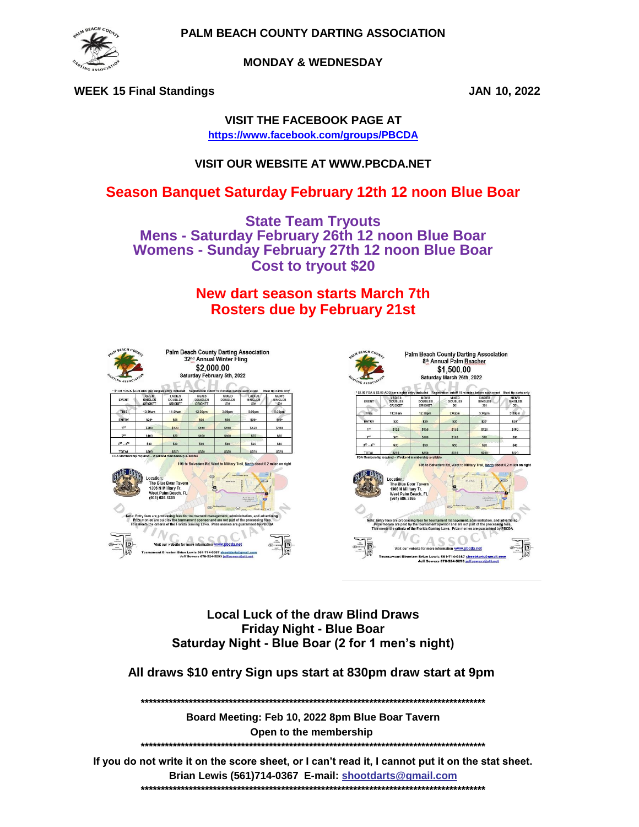

**MONDAY & WEDNESDAY**

**WEEK 15 Final Standings JAN 10, 2022**

#### **VISIT THE FACEBOOK PAGE AT https://www.facebook.com/groups/PBCDA**

### **VISIT OUR WEBSITE AT WWW.PBCDA.NET**

## **Season Banquet Saturday February 12th 12 noon Blue Boar**

**State Team Tryouts Cost to tryout \$20 Mens - Saturday February 26th 12 noon Blue Boar Womens - Sunday February 27th 12 noon Blue Boar**

# **New dart season starts March 7th Rosters due by February 21st**

|                                   | \$2,000.00<br>Saturday February 5th, 2022<br><b>RTING ASSOCIATION</b>                            |                                                                                                                                                                                                                                                                                             |                                                                                        |                                |                          |                                                               |  |  |  |  |
|-----------------------------------|--------------------------------------------------------------------------------------------------|---------------------------------------------------------------------------------------------------------------------------------------------------------------------------------------------------------------------------------------------------------------------------------------------|----------------------------------------------------------------------------------------|--------------------------------|--------------------------|---------------------------------------------------------------|--|--|--|--|
| EVENT                             | * \$1.00 FDA & \$2.00 ADO per singles entry included<br>OPEN<br><b>SINGLES</b><br><b>GRICKET</b> | LADIES<br><b>DOUBLES</b><br>CRICKET                                                                                                                                                                                                                                                         | Registration cutoff 10 minutes before each event<br>MEN'S<br><b>DOUBLES</b><br>CRICKET | MIXED<br><b>DOUBLES</b><br>501 | LADIES<br>SINGLES<br>501 | Steel tip darts only<br><b>MEN'S</b><br><b>SINGLES</b><br>501 |  |  |  |  |
| TIME                              | 10:30am                                                                                          | 11:30am                                                                                                                                                                                                                                                                                     | 12:30pm                                                                                | $3:00$ pm                      | 5:00 <sub>pm</sub>       | 5:30 <sub>nm</sub>                                            |  |  |  |  |
| ENTRY                             | \$20*                                                                                            | \$26                                                                                                                                                                                                                                                                                        | \$26                                                                                   | \$26                           | \$20*                    | \$20*                                                         |  |  |  |  |
| 1 <sup>37</sup>                   | \$300                                                                                            | \$120                                                                                                                                                                                                                                                                                       | \$150                                                                                  | \$150                          | \$120                    | \$160                                                         |  |  |  |  |
|                                   |                                                                                                  |                                                                                                                                                                                                                                                                                             | \$100                                                                                  | \$100                          | \$70                     | \$80                                                          |  |  |  |  |
| 2 <sup>N2</sup>                   | \$100                                                                                            | \$70                                                                                                                                                                                                                                                                                        |                                                                                        |                                |                          |                                                               |  |  |  |  |
|                                   | \$50                                                                                             | \$30                                                                                                                                                                                                                                                                                        | \$50                                                                                   | \$50                           | \$20                     | \$40                                                          |  |  |  |  |
|                                   | \$500                                                                                            | \$250<br>FDA Membership required - Weekend membership available                                                                                                                                                                                                                             | \$350<br>1-95 to Belvedere Rd. West to Military Trail, North about 0.2 miles on right  | \$350                          | \$230                    | \$320                                                         |  |  |  |  |
| $3^{RD} - 4^{TR}$<br><b>TOTAL</b> | Location:                                                                                        | <b>The Blue Boar Tavern</b><br>1306 N Military Tr.<br>West Palm Beach, FL<br>(561) 686-3865<br>Note: Entry fees are processing fees for tournament management, administration, and advertising.<br>Prize monies are paid by the tournament sponsor and are not part of the processing fees. | $\odot$                                                                                |                                | $d$ Lake $5$ and         |                                                               |  |  |  |  |

| <b>EVENT</b>      | LADIES<br><b>DOUBLES</b><br>CRICKET                                                                      | <b>MEN'S</b><br><b>DOUBLES</b><br>CRICKET                       | <b>MIXED</b><br><b>DOUBLES</b><br>501 | <b>LADIES</b><br><b>SINGLES</b><br>501                                                | <b>MFN'S</b><br><b>SINGLES</b><br>501 |
|-------------------|----------------------------------------------------------------------------------------------------------|-----------------------------------------------------------------|---------------------------------------|---------------------------------------------------------------------------------------|---------------------------------------|
| TIME              | 11:30am                                                                                                  | 12:30pm                                                         | 3:00pm                                | 5:00 <sub>pm</sub>                                                                    | 5:30pm                                |
| ENTRY             | \$26                                                                                                     | \$28                                                            | \$26                                  | \$20*                                                                                 | \$20*                                 |
| 1 <sup>27</sup>   | \$120                                                                                                    | \$150                                                           | \$150                                 | \$120                                                                                 | \$160                                 |
| $2^{10}$          | \$70                                                                                                     | \$100                                                           | \$100                                 | \$70                                                                                  | \$80                                  |
| $3^{10} - 4^{18}$ | \$30                                                                                                     | \$50                                                            | \$50                                  | \$20                                                                                  | \$40                                  |
|                   |                                                                                                          |                                                                 |                                       |                                                                                       |                                       |
| TOTAL             | \$250                                                                                                    | \$350<br>FDA Membership required - Weekend membership available | \$350                                 | \$230<br>1-95 to Belvedere Rd. West to Military Trail. North about 0.2 miles on right | \$320                                 |
|                   | Location:<br><b>The Blue Boar Tavern</b><br>1306 N Military Tr.<br>West Palm Beach, FL<br>(561) 686-3865 |                                                                 | ş                                     |                                                                                       |                                       |

**Saturday Night - Blue Boar (2 for 1 men's night) Local Luck of the draw Blind Draws Friday Night - Blue Boar**

**All draws \$10 entry Sign ups start at 830pm draw start at 9pm** 

**\*\*\*\*\*\*\*\*\*\*\*\*\*\*\*\*\*\*\*\*\*\*\*\*\*\*\*\*\*\*\*\*\*\*\*\*\*\*\*\*\*\*\*\*\*\*\*\*\*\*\*\*\*\*\*\*\*\*\*\*\*\*\*\*\*\*\*\*\*\*\*\*\*\*\*\*\*\*\*\*\*\*\*\*\*\***

**\*\*\*\*\*\*\*\*\*\*\*\*\*\*\*\*\*\*\*\*\*\*\*\*\*\*\*\*\*\*\*\*\*\*\*\*\*\*\*\*\*\*\*\*\*\*\*\*\*\*\*\*\*\*\*\*\*\*\*\*\*\*\*\*\*\*\*\*\*\*\*\*\*\*\*\*\*\*\*\*\*\*\*\*\*\* Open to the membership Board Meeting: Feb 10, 2022 8pm Blue Boar Tavern**

**Brian Lewis (561)714-0367 E-mail: shootdarts@gmail.com If you do not write it on the score sheet, or I can't read it, I cannot put it on the stat sheet.**

**\*\*\*\*\*\*\*\*\*\*\*\*\*\*\*\*\*\*\*\*\*\*\*\*\*\*\*\*\*\*\*\*\*\*\*\*\*\*\*\*\*\*\*\*\*\*\*\*\*\*\*\*\*\*\*\*\*\*\*\*\*\*\*\*\*\*\*\*\*\*\*\*\*\*\*\*\*\*\*\*\*\*\*\*\*\***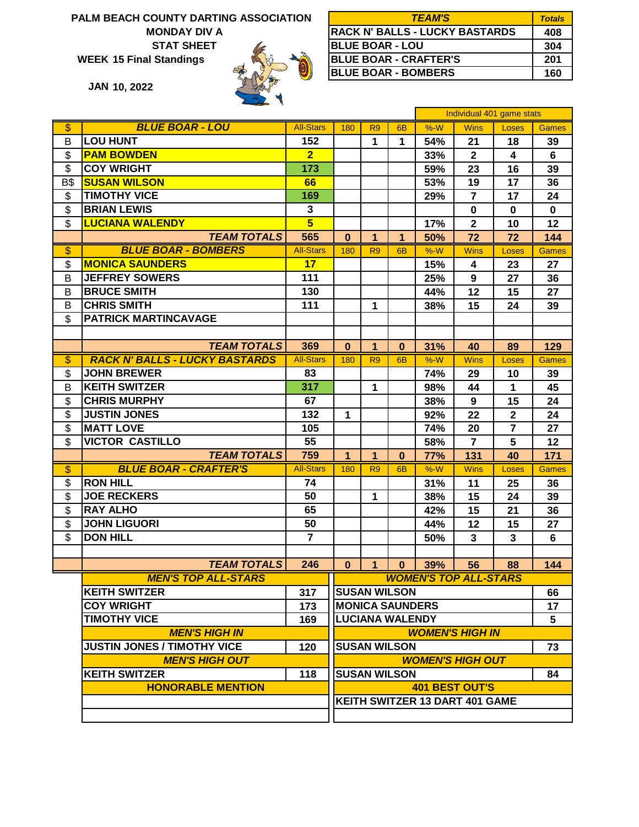# **PALM BEACH COUNTY DARTING ASSOCIATION**



| ALM BEACH COUNTY DARTING ASSOCIATION | <b>TEAM'S</b>                         | <b>Totals</b> |
|--------------------------------------|---------------------------------------|---------------|
| <b>MONDAY DIV A</b>                  | <b>RACK N' BALLS - LUCKY BASTARDS</b> | 408           |
| <b>STAT SHEET</b>                    | <b>IBLUE BOAR - LOU</b>               | 304           |
| <b>WEEK 15 Final Standings</b>       | <b>BLUE BOAR - CRAFTER'S</b>          | 201           |
|                                      | <b>BLUE BOAR - BOMBERS</b>            | 160           |

**10, 2022 JAN**

| $\overline{\mathcal{S}}$<br><b>BLUE BOAR - LOU</b><br><b>All-Stars</b><br>$%-W$<br>180<br>R <sub>9</sub><br><b>Wins</b><br>6 <sub>B</sub><br>Loses<br><b>LOU HUNT</b><br>B<br>152<br>1<br>$\mathbf{1}$<br>54%<br>21<br>18<br>39<br>\$<br>$\overline{2}$<br><b>PAM BOWDEN</b><br>33%<br>$\mathbf{2}$<br>6<br>4<br>\$<br>173<br><b>COY WRIGHT</b><br>59%<br>23<br>16<br>39<br><b>SUSAN WILSON</b><br><b>B\$</b><br>66<br>53%<br>17<br>36<br>19<br><b>TIMOTHY VICE</b><br>169<br>\$<br>29%<br>$\overline{7}$<br>17<br>24<br>\$<br><b>BRIAN LEWIS</b><br>3<br>$\mathbf 0$<br>0<br>$\mathbf 0$<br>\$<br>$5\overline{)}$<br><b>LUCIANA WALENDY</b><br>12<br>17%<br>$\overline{2}$<br>10<br>565<br><b>TEAM TOTALS</b><br>$\mathbf{1}$<br>72<br>$\bf{0}$<br>1<br>50%<br>72<br>144<br>$\boldsymbol{\$}$<br><b>BLUE BOAR - BOMBERS</b><br><b>All-Stars</b><br>$%-W$<br><b>Wins</b><br>180<br>R <sub>9</sub><br>6 <sub>B</sub><br>Loses<br>17<br>\$<br><b>MONICA SAUNDERS</b><br>15%<br>27<br>4<br>23<br><b>JEFFREY SOWERS</b><br>111<br>B<br>25%<br>9<br>27<br>36<br><b>BRUCE SMITH</b><br>130<br>44%<br>12<br>27<br>B<br>15<br><b>CHRIS SMITH</b><br>111<br>B<br>15<br>24<br>1<br>38%<br>39<br>\$<br><b>PATRICK MARTINCAVAGE</b><br><b>TEAM TOTALS</b><br>369<br>$\mathbf{1}$<br>31%<br>89<br>129<br>$\bf{0}$<br>$\bf{0}$<br>40<br><b>RACK N' BALLS - LUCKY BASTARDS</b><br>$\overline{\mathcal{S}}$<br><b>All-Stars</b><br>$%-W$<br>180<br>R <sub>9</sub><br><b>Wins</b><br>Loses<br>6 <sub>B</sub><br>\$<br><b>JOHN BREWER</b><br>83<br>74%<br>29<br>10<br>39<br>B<br><b>KEITH SWITZER</b><br>317<br>98%<br>45<br>1<br>44<br>$\mathbf 1$<br>\$<br><b>CHRIS MURPHY</b><br>24<br>67<br>38%<br>9<br>15<br>\$<br><b>JUSTIN JONES</b><br>$\overline{\mathbf{2}}$<br>132<br>1<br>92%<br>22<br>24<br>\$<br><b>MATT LOVE</b><br>$\overline{7}$<br>105<br>74%<br>27<br>20<br>\$<br><b>VICTOR CASTILLO</b><br>55<br>$\overline{7}$<br>5<br>12<br>58%<br><b>TEAM TOTALS</b><br>759<br>1<br><b>77%</b><br>131<br>171<br>1<br>$\bf{0}$<br>40<br><b>BLUE BOAR - CRAFTER'S</b><br>$\frac{1}{2}$<br><b>All-Stars</b><br>$%-W$<br>180<br>R <sub>9</sub><br><b>Wins</b><br>6B<br>Loses<br>\$<br><b>RON HILL</b><br>74<br>31%<br>11<br>25<br>36<br>\$<br><b>JOE RECKERS</b><br>50<br>$\mathbf{1}$<br>38%<br>15<br>24<br>39<br>\$<br><b>RAY ALHO</b><br>65<br>42%<br>21<br>36<br>15<br>\$<br><b>JOHN LIGUORI</b><br>50<br>44%<br>12<br>15<br>27<br>\$<br>$\overline{7}$<br><b>DON HILL</b><br>50%<br>3<br>3<br>6<br><b>TEAM TOTALS</b><br>246<br>$\mathbf{1}$<br>88<br>$\bf{0}$<br>$\bf{0}$<br>39%<br>56<br>144<br><b>MEN'S TOP ALL-STARS</b><br><b>WOMEN'S TOP ALL-STARS</b><br><b>KEITH SWITZER</b><br><b>SUSAN WILSON</b><br>317<br>66<br><b>MONICA SAUNDERS</b><br><b>COY WRIGHT</b><br>17<br>173<br><b>TIMOTHY VICE</b><br><b>LUCIANA WALENDY</b><br>5<br>169<br><b>MEN'S HIGH IN</b><br><b>WOMEN'S HIGH IN</b><br><b>JUSTIN JONES / TIMOTHY VICE</b><br><b>SUSAN WILSON</b><br>73<br>120<br><b>WOMEN'S HIGH OUT</b><br><b>MEN'S HIGH OUT</b><br><b>KEITH SWITZER</b><br><b>SUSAN WILSON</b><br>118<br>84 |                          |  |  |                       |  |  | Individual 401 game stats |  |              |  |
|-------------------------------------------------------------------------------------------------------------------------------------------------------------------------------------------------------------------------------------------------------------------------------------------------------------------------------------------------------------------------------------------------------------------------------------------------------------------------------------------------------------------------------------------------------------------------------------------------------------------------------------------------------------------------------------------------------------------------------------------------------------------------------------------------------------------------------------------------------------------------------------------------------------------------------------------------------------------------------------------------------------------------------------------------------------------------------------------------------------------------------------------------------------------------------------------------------------------------------------------------------------------------------------------------------------------------------------------------------------------------------------------------------------------------------------------------------------------------------------------------------------------------------------------------------------------------------------------------------------------------------------------------------------------------------------------------------------------------------------------------------------------------------------------------------------------------------------------------------------------------------------------------------------------------------------------------------------------------------------------------------------------------------------------------------------------------------------------------------------------------------------------------------------------------------------------------------------------------------------------------------------------------------------------------------------------------------------------------------------------------------------------------------------------------------------------------------------------------------------------------------------------------------------------------------------------------------------------------------------------------------------------------------------------------------------------------------------------------------------------------------------------------------------------------------------------------------------------------------------------------------------------------------------------------------------------------------------------------------------------------------------------------------------------------------------------------------------|--------------------------|--|--|-----------------------|--|--|---------------------------|--|--------------|--|
|                                                                                                                                                                                                                                                                                                                                                                                                                                                                                                                                                                                                                                                                                                                                                                                                                                                                                                                                                                                                                                                                                                                                                                                                                                                                                                                                                                                                                                                                                                                                                                                                                                                                                                                                                                                                                                                                                                                                                                                                                                                                                                                                                                                                                                                                                                                                                                                                                                                                                                                                                                                                                                                                                                                                                                                                                                                                                                                                                                                                                                                                                     |                          |  |  |                       |  |  |                           |  | <b>Games</b> |  |
|                                                                                                                                                                                                                                                                                                                                                                                                                                                                                                                                                                                                                                                                                                                                                                                                                                                                                                                                                                                                                                                                                                                                                                                                                                                                                                                                                                                                                                                                                                                                                                                                                                                                                                                                                                                                                                                                                                                                                                                                                                                                                                                                                                                                                                                                                                                                                                                                                                                                                                                                                                                                                                                                                                                                                                                                                                                                                                                                                                                                                                                                                     |                          |  |  |                       |  |  |                           |  |              |  |
|                                                                                                                                                                                                                                                                                                                                                                                                                                                                                                                                                                                                                                                                                                                                                                                                                                                                                                                                                                                                                                                                                                                                                                                                                                                                                                                                                                                                                                                                                                                                                                                                                                                                                                                                                                                                                                                                                                                                                                                                                                                                                                                                                                                                                                                                                                                                                                                                                                                                                                                                                                                                                                                                                                                                                                                                                                                                                                                                                                                                                                                                                     |                          |  |  |                       |  |  |                           |  |              |  |
|                                                                                                                                                                                                                                                                                                                                                                                                                                                                                                                                                                                                                                                                                                                                                                                                                                                                                                                                                                                                                                                                                                                                                                                                                                                                                                                                                                                                                                                                                                                                                                                                                                                                                                                                                                                                                                                                                                                                                                                                                                                                                                                                                                                                                                                                                                                                                                                                                                                                                                                                                                                                                                                                                                                                                                                                                                                                                                                                                                                                                                                                                     |                          |  |  |                       |  |  |                           |  |              |  |
|                                                                                                                                                                                                                                                                                                                                                                                                                                                                                                                                                                                                                                                                                                                                                                                                                                                                                                                                                                                                                                                                                                                                                                                                                                                                                                                                                                                                                                                                                                                                                                                                                                                                                                                                                                                                                                                                                                                                                                                                                                                                                                                                                                                                                                                                                                                                                                                                                                                                                                                                                                                                                                                                                                                                                                                                                                                                                                                                                                                                                                                                                     |                          |  |  |                       |  |  |                           |  |              |  |
|                                                                                                                                                                                                                                                                                                                                                                                                                                                                                                                                                                                                                                                                                                                                                                                                                                                                                                                                                                                                                                                                                                                                                                                                                                                                                                                                                                                                                                                                                                                                                                                                                                                                                                                                                                                                                                                                                                                                                                                                                                                                                                                                                                                                                                                                                                                                                                                                                                                                                                                                                                                                                                                                                                                                                                                                                                                                                                                                                                                                                                                                                     |                          |  |  |                       |  |  |                           |  |              |  |
|                                                                                                                                                                                                                                                                                                                                                                                                                                                                                                                                                                                                                                                                                                                                                                                                                                                                                                                                                                                                                                                                                                                                                                                                                                                                                                                                                                                                                                                                                                                                                                                                                                                                                                                                                                                                                                                                                                                                                                                                                                                                                                                                                                                                                                                                                                                                                                                                                                                                                                                                                                                                                                                                                                                                                                                                                                                                                                                                                                                                                                                                                     |                          |  |  |                       |  |  |                           |  |              |  |
|                                                                                                                                                                                                                                                                                                                                                                                                                                                                                                                                                                                                                                                                                                                                                                                                                                                                                                                                                                                                                                                                                                                                                                                                                                                                                                                                                                                                                                                                                                                                                                                                                                                                                                                                                                                                                                                                                                                                                                                                                                                                                                                                                                                                                                                                                                                                                                                                                                                                                                                                                                                                                                                                                                                                                                                                                                                                                                                                                                                                                                                                                     |                          |  |  |                       |  |  |                           |  |              |  |
|                                                                                                                                                                                                                                                                                                                                                                                                                                                                                                                                                                                                                                                                                                                                                                                                                                                                                                                                                                                                                                                                                                                                                                                                                                                                                                                                                                                                                                                                                                                                                                                                                                                                                                                                                                                                                                                                                                                                                                                                                                                                                                                                                                                                                                                                                                                                                                                                                                                                                                                                                                                                                                                                                                                                                                                                                                                                                                                                                                                                                                                                                     |                          |  |  |                       |  |  |                           |  |              |  |
|                                                                                                                                                                                                                                                                                                                                                                                                                                                                                                                                                                                                                                                                                                                                                                                                                                                                                                                                                                                                                                                                                                                                                                                                                                                                                                                                                                                                                                                                                                                                                                                                                                                                                                                                                                                                                                                                                                                                                                                                                                                                                                                                                                                                                                                                                                                                                                                                                                                                                                                                                                                                                                                                                                                                                                                                                                                                                                                                                                                                                                                                                     |                          |  |  |                       |  |  |                           |  | <b>Games</b> |  |
|                                                                                                                                                                                                                                                                                                                                                                                                                                                                                                                                                                                                                                                                                                                                                                                                                                                                                                                                                                                                                                                                                                                                                                                                                                                                                                                                                                                                                                                                                                                                                                                                                                                                                                                                                                                                                                                                                                                                                                                                                                                                                                                                                                                                                                                                                                                                                                                                                                                                                                                                                                                                                                                                                                                                                                                                                                                                                                                                                                                                                                                                                     |                          |  |  |                       |  |  |                           |  |              |  |
|                                                                                                                                                                                                                                                                                                                                                                                                                                                                                                                                                                                                                                                                                                                                                                                                                                                                                                                                                                                                                                                                                                                                                                                                                                                                                                                                                                                                                                                                                                                                                                                                                                                                                                                                                                                                                                                                                                                                                                                                                                                                                                                                                                                                                                                                                                                                                                                                                                                                                                                                                                                                                                                                                                                                                                                                                                                                                                                                                                                                                                                                                     |                          |  |  |                       |  |  |                           |  |              |  |
|                                                                                                                                                                                                                                                                                                                                                                                                                                                                                                                                                                                                                                                                                                                                                                                                                                                                                                                                                                                                                                                                                                                                                                                                                                                                                                                                                                                                                                                                                                                                                                                                                                                                                                                                                                                                                                                                                                                                                                                                                                                                                                                                                                                                                                                                                                                                                                                                                                                                                                                                                                                                                                                                                                                                                                                                                                                                                                                                                                                                                                                                                     |                          |  |  |                       |  |  |                           |  |              |  |
|                                                                                                                                                                                                                                                                                                                                                                                                                                                                                                                                                                                                                                                                                                                                                                                                                                                                                                                                                                                                                                                                                                                                                                                                                                                                                                                                                                                                                                                                                                                                                                                                                                                                                                                                                                                                                                                                                                                                                                                                                                                                                                                                                                                                                                                                                                                                                                                                                                                                                                                                                                                                                                                                                                                                                                                                                                                                                                                                                                                                                                                                                     |                          |  |  |                       |  |  |                           |  |              |  |
|                                                                                                                                                                                                                                                                                                                                                                                                                                                                                                                                                                                                                                                                                                                                                                                                                                                                                                                                                                                                                                                                                                                                                                                                                                                                                                                                                                                                                                                                                                                                                                                                                                                                                                                                                                                                                                                                                                                                                                                                                                                                                                                                                                                                                                                                                                                                                                                                                                                                                                                                                                                                                                                                                                                                                                                                                                                                                                                                                                                                                                                                                     |                          |  |  |                       |  |  |                           |  |              |  |
|                                                                                                                                                                                                                                                                                                                                                                                                                                                                                                                                                                                                                                                                                                                                                                                                                                                                                                                                                                                                                                                                                                                                                                                                                                                                                                                                                                                                                                                                                                                                                                                                                                                                                                                                                                                                                                                                                                                                                                                                                                                                                                                                                                                                                                                                                                                                                                                                                                                                                                                                                                                                                                                                                                                                                                                                                                                                                                                                                                                                                                                                                     |                          |  |  |                       |  |  |                           |  |              |  |
|                                                                                                                                                                                                                                                                                                                                                                                                                                                                                                                                                                                                                                                                                                                                                                                                                                                                                                                                                                                                                                                                                                                                                                                                                                                                                                                                                                                                                                                                                                                                                                                                                                                                                                                                                                                                                                                                                                                                                                                                                                                                                                                                                                                                                                                                                                                                                                                                                                                                                                                                                                                                                                                                                                                                                                                                                                                                                                                                                                                                                                                                                     |                          |  |  |                       |  |  |                           |  |              |  |
|                                                                                                                                                                                                                                                                                                                                                                                                                                                                                                                                                                                                                                                                                                                                                                                                                                                                                                                                                                                                                                                                                                                                                                                                                                                                                                                                                                                                                                                                                                                                                                                                                                                                                                                                                                                                                                                                                                                                                                                                                                                                                                                                                                                                                                                                                                                                                                                                                                                                                                                                                                                                                                                                                                                                                                                                                                                                                                                                                                                                                                                                                     |                          |  |  |                       |  |  |                           |  | <b>Games</b> |  |
|                                                                                                                                                                                                                                                                                                                                                                                                                                                                                                                                                                                                                                                                                                                                                                                                                                                                                                                                                                                                                                                                                                                                                                                                                                                                                                                                                                                                                                                                                                                                                                                                                                                                                                                                                                                                                                                                                                                                                                                                                                                                                                                                                                                                                                                                                                                                                                                                                                                                                                                                                                                                                                                                                                                                                                                                                                                                                                                                                                                                                                                                                     |                          |  |  |                       |  |  |                           |  |              |  |
|                                                                                                                                                                                                                                                                                                                                                                                                                                                                                                                                                                                                                                                                                                                                                                                                                                                                                                                                                                                                                                                                                                                                                                                                                                                                                                                                                                                                                                                                                                                                                                                                                                                                                                                                                                                                                                                                                                                                                                                                                                                                                                                                                                                                                                                                                                                                                                                                                                                                                                                                                                                                                                                                                                                                                                                                                                                                                                                                                                                                                                                                                     |                          |  |  |                       |  |  |                           |  |              |  |
|                                                                                                                                                                                                                                                                                                                                                                                                                                                                                                                                                                                                                                                                                                                                                                                                                                                                                                                                                                                                                                                                                                                                                                                                                                                                                                                                                                                                                                                                                                                                                                                                                                                                                                                                                                                                                                                                                                                                                                                                                                                                                                                                                                                                                                                                                                                                                                                                                                                                                                                                                                                                                                                                                                                                                                                                                                                                                                                                                                                                                                                                                     |                          |  |  |                       |  |  |                           |  |              |  |
|                                                                                                                                                                                                                                                                                                                                                                                                                                                                                                                                                                                                                                                                                                                                                                                                                                                                                                                                                                                                                                                                                                                                                                                                                                                                                                                                                                                                                                                                                                                                                                                                                                                                                                                                                                                                                                                                                                                                                                                                                                                                                                                                                                                                                                                                                                                                                                                                                                                                                                                                                                                                                                                                                                                                                                                                                                                                                                                                                                                                                                                                                     |                          |  |  |                       |  |  |                           |  |              |  |
|                                                                                                                                                                                                                                                                                                                                                                                                                                                                                                                                                                                                                                                                                                                                                                                                                                                                                                                                                                                                                                                                                                                                                                                                                                                                                                                                                                                                                                                                                                                                                                                                                                                                                                                                                                                                                                                                                                                                                                                                                                                                                                                                                                                                                                                                                                                                                                                                                                                                                                                                                                                                                                                                                                                                                                                                                                                                                                                                                                                                                                                                                     |                          |  |  |                       |  |  |                           |  |              |  |
|                                                                                                                                                                                                                                                                                                                                                                                                                                                                                                                                                                                                                                                                                                                                                                                                                                                                                                                                                                                                                                                                                                                                                                                                                                                                                                                                                                                                                                                                                                                                                                                                                                                                                                                                                                                                                                                                                                                                                                                                                                                                                                                                                                                                                                                                                                                                                                                                                                                                                                                                                                                                                                                                                                                                                                                                                                                                                                                                                                                                                                                                                     |                          |  |  |                       |  |  |                           |  |              |  |
|                                                                                                                                                                                                                                                                                                                                                                                                                                                                                                                                                                                                                                                                                                                                                                                                                                                                                                                                                                                                                                                                                                                                                                                                                                                                                                                                                                                                                                                                                                                                                                                                                                                                                                                                                                                                                                                                                                                                                                                                                                                                                                                                                                                                                                                                                                                                                                                                                                                                                                                                                                                                                                                                                                                                                                                                                                                                                                                                                                                                                                                                                     |                          |  |  |                       |  |  |                           |  |              |  |
|                                                                                                                                                                                                                                                                                                                                                                                                                                                                                                                                                                                                                                                                                                                                                                                                                                                                                                                                                                                                                                                                                                                                                                                                                                                                                                                                                                                                                                                                                                                                                                                                                                                                                                                                                                                                                                                                                                                                                                                                                                                                                                                                                                                                                                                                                                                                                                                                                                                                                                                                                                                                                                                                                                                                                                                                                                                                                                                                                                                                                                                                                     |                          |  |  |                       |  |  |                           |  | <b>Games</b> |  |
|                                                                                                                                                                                                                                                                                                                                                                                                                                                                                                                                                                                                                                                                                                                                                                                                                                                                                                                                                                                                                                                                                                                                                                                                                                                                                                                                                                                                                                                                                                                                                                                                                                                                                                                                                                                                                                                                                                                                                                                                                                                                                                                                                                                                                                                                                                                                                                                                                                                                                                                                                                                                                                                                                                                                                                                                                                                                                                                                                                                                                                                                                     |                          |  |  |                       |  |  |                           |  |              |  |
|                                                                                                                                                                                                                                                                                                                                                                                                                                                                                                                                                                                                                                                                                                                                                                                                                                                                                                                                                                                                                                                                                                                                                                                                                                                                                                                                                                                                                                                                                                                                                                                                                                                                                                                                                                                                                                                                                                                                                                                                                                                                                                                                                                                                                                                                                                                                                                                                                                                                                                                                                                                                                                                                                                                                                                                                                                                                                                                                                                                                                                                                                     |                          |  |  |                       |  |  |                           |  |              |  |
|                                                                                                                                                                                                                                                                                                                                                                                                                                                                                                                                                                                                                                                                                                                                                                                                                                                                                                                                                                                                                                                                                                                                                                                                                                                                                                                                                                                                                                                                                                                                                                                                                                                                                                                                                                                                                                                                                                                                                                                                                                                                                                                                                                                                                                                                                                                                                                                                                                                                                                                                                                                                                                                                                                                                                                                                                                                                                                                                                                                                                                                                                     |                          |  |  |                       |  |  |                           |  |              |  |
|                                                                                                                                                                                                                                                                                                                                                                                                                                                                                                                                                                                                                                                                                                                                                                                                                                                                                                                                                                                                                                                                                                                                                                                                                                                                                                                                                                                                                                                                                                                                                                                                                                                                                                                                                                                                                                                                                                                                                                                                                                                                                                                                                                                                                                                                                                                                                                                                                                                                                                                                                                                                                                                                                                                                                                                                                                                                                                                                                                                                                                                                                     |                          |  |  |                       |  |  |                           |  |              |  |
|                                                                                                                                                                                                                                                                                                                                                                                                                                                                                                                                                                                                                                                                                                                                                                                                                                                                                                                                                                                                                                                                                                                                                                                                                                                                                                                                                                                                                                                                                                                                                                                                                                                                                                                                                                                                                                                                                                                                                                                                                                                                                                                                                                                                                                                                                                                                                                                                                                                                                                                                                                                                                                                                                                                                                                                                                                                                                                                                                                                                                                                                                     |                          |  |  |                       |  |  |                           |  |              |  |
|                                                                                                                                                                                                                                                                                                                                                                                                                                                                                                                                                                                                                                                                                                                                                                                                                                                                                                                                                                                                                                                                                                                                                                                                                                                                                                                                                                                                                                                                                                                                                                                                                                                                                                                                                                                                                                                                                                                                                                                                                                                                                                                                                                                                                                                                                                                                                                                                                                                                                                                                                                                                                                                                                                                                                                                                                                                                                                                                                                                                                                                                                     |                          |  |  |                       |  |  |                           |  |              |  |
|                                                                                                                                                                                                                                                                                                                                                                                                                                                                                                                                                                                                                                                                                                                                                                                                                                                                                                                                                                                                                                                                                                                                                                                                                                                                                                                                                                                                                                                                                                                                                                                                                                                                                                                                                                                                                                                                                                                                                                                                                                                                                                                                                                                                                                                                                                                                                                                                                                                                                                                                                                                                                                                                                                                                                                                                                                                                                                                                                                                                                                                                                     |                          |  |  |                       |  |  |                           |  |              |  |
|                                                                                                                                                                                                                                                                                                                                                                                                                                                                                                                                                                                                                                                                                                                                                                                                                                                                                                                                                                                                                                                                                                                                                                                                                                                                                                                                                                                                                                                                                                                                                                                                                                                                                                                                                                                                                                                                                                                                                                                                                                                                                                                                                                                                                                                                                                                                                                                                                                                                                                                                                                                                                                                                                                                                                                                                                                                                                                                                                                                                                                                                                     |                          |  |  |                       |  |  |                           |  |              |  |
|                                                                                                                                                                                                                                                                                                                                                                                                                                                                                                                                                                                                                                                                                                                                                                                                                                                                                                                                                                                                                                                                                                                                                                                                                                                                                                                                                                                                                                                                                                                                                                                                                                                                                                                                                                                                                                                                                                                                                                                                                                                                                                                                                                                                                                                                                                                                                                                                                                                                                                                                                                                                                                                                                                                                                                                                                                                                                                                                                                                                                                                                                     |                          |  |  |                       |  |  |                           |  |              |  |
|                                                                                                                                                                                                                                                                                                                                                                                                                                                                                                                                                                                                                                                                                                                                                                                                                                                                                                                                                                                                                                                                                                                                                                                                                                                                                                                                                                                                                                                                                                                                                                                                                                                                                                                                                                                                                                                                                                                                                                                                                                                                                                                                                                                                                                                                                                                                                                                                                                                                                                                                                                                                                                                                                                                                                                                                                                                                                                                                                                                                                                                                                     |                          |  |  |                       |  |  |                           |  |              |  |
|                                                                                                                                                                                                                                                                                                                                                                                                                                                                                                                                                                                                                                                                                                                                                                                                                                                                                                                                                                                                                                                                                                                                                                                                                                                                                                                                                                                                                                                                                                                                                                                                                                                                                                                                                                                                                                                                                                                                                                                                                                                                                                                                                                                                                                                                                                                                                                                                                                                                                                                                                                                                                                                                                                                                                                                                                                                                                                                                                                                                                                                                                     |                          |  |  |                       |  |  |                           |  |              |  |
|                                                                                                                                                                                                                                                                                                                                                                                                                                                                                                                                                                                                                                                                                                                                                                                                                                                                                                                                                                                                                                                                                                                                                                                                                                                                                                                                                                                                                                                                                                                                                                                                                                                                                                                                                                                                                                                                                                                                                                                                                                                                                                                                                                                                                                                                                                                                                                                                                                                                                                                                                                                                                                                                                                                                                                                                                                                                                                                                                                                                                                                                                     |                          |  |  |                       |  |  |                           |  |              |  |
|                                                                                                                                                                                                                                                                                                                                                                                                                                                                                                                                                                                                                                                                                                                                                                                                                                                                                                                                                                                                                                                                                                                                                                                                                                                                                                                                                                                                                                                                                                                                                                                                                                                                                                                                                                                                                                                                                                                                                                                                                                                                                                                                                                                                                                                                                                                                                                                                                                                                                                                                                                                                                                                                                                                                                                                                                                                                                                                                                                                                                                                                                     |                          |  |  |                       |  |  |                           |  |              |  |
|                                                                                                                                                                                                                                                                                                                                                                                                                                                                                                                                                                                                                                                                                                                                                                                                                                                                                                                                                                                                                                                                                                                                                                                                                                                                                                                                                                                                                                                                                                                                                                                                                                                                                                                                                                                                                                                                                                                                                                                                                                                                                                                                                                                                                                                                                                                                                                                                                                                                                                                                                                                                                                                                                                                                                                                                                                                                                                                                                                                                                                                                                     |                          |  |  |                       |  |  |                           |  |              |  |
|                                                                                                                                                                                                                                                                                                                                                                                                                                                                                                                                                                                                                                                                                                                                                                                                                                                                                                                                                                                                                                                                                                                                                                                                                                                                                                                                                                                                                                                                                                                                                                                                                                                                                                                                                                                                                                                                                                                                                                                                                                                                                                                                                                                                                                                                                                                                                                                                                                                                                                                                                                                                                                                                                                                                                                                                                                                                                                                                                                                                                                                                                     |                          |  |  |                       |  |  |                           |  |              |  |
|                                                                                                                                                                                                                                                                                                                                                                                                                                                                                                                                                                                                                                                                                                                                                                                                                                                                                                                                                                                                                                                                                                                                                                                                                                                                                                                                                                                                                                                                                                                                                                                                                                                                                                                                                                                                                                                                                                                                                                                                                                                                                                                                                                                                                                                                                                                                                                                                                                                                                                                                                                                                                                                                                                                                                                                                                                                                                                                                                                                                                                                                                     | <b>HONORABLE MENTION</b> |  |  | <b>401 BEST OUT'S</b> |  |  |                           |  |              |  |
| <b>KEITH SWITZER 13 DART 401 GAME</b>                                                                                                                                                                                                                                                                                                                                                                                                                                                                                                                                                                                                                                                                                                                                                                                                                                                                                                                                                                                                                                                                                                                                                                                                                                                                                                                                                                                                                                                                                                                                                                                                                                                                                                                                                                                                                                                                                                                                                                                                                                                                                                                                                                                                                                                                                                                                                                                                                                                                                                                                                                                                                                                                                                                                                                                                                                                                                                                                                                                                                                               |                          |  |  |                       |  |  |                           |  |              |  |
|                                                                                                                                                                                                                                                                                                                                                                                                                                                                                                                                                                                                                                                                                                                                                                                                                                                                                                                                                                                                                                                                                                                                                                                                                                                                                                                                                                                                                                                                                                                                                                                                                                                                                                                                                                                                                                                                                                                                                                                                                                                                                                                                                                                                                                                                                                                                                                                                                                                                                                                                                                                                                                                                                                                                                                                                                                                                                                                                                                                                                                                                                     |                          |  |  |                       |  |  |                           |  |              |  |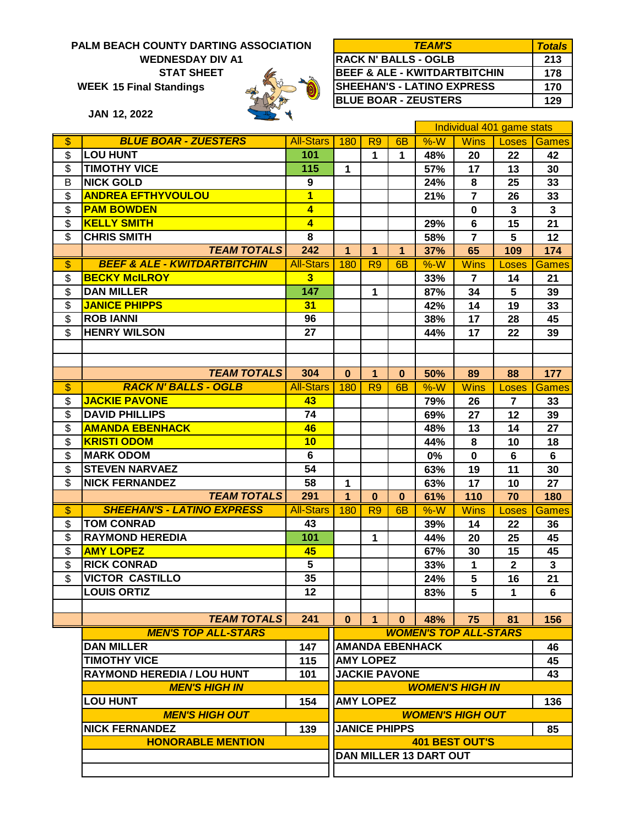#### **PALM BEACH COUNTY DARTING ASSOCIATION**



| ALM BEACH COUNTY DARTING ASSOCIATION | <b>TEAM'S</b>                            | <b>Totals</b> |
|--------------------------------------|------------------------------------------|---------------|
| <b>WEDNESDAY DIV A1</b>              | <b>RACK N' BALLS - OGLB</b>              | 213           |
| <b>STAT SHEET</b>                    | <b>IBEEF &amp; ALE - KWITDARTBITCHIN</b> | 178           |
| <b>WEEK 15 Final Standings</b>       | <b>SHEEHAN'S - LATINO EXPRESS</b>        | 170           |
|                                      | <b>BLUE BOAR - ZEUSTERS</b>              | 129           |

**12, 2022 JAN**

|                         |                                         |                         |                                                 |                  |                | Individual 401 game stats |                              |                |                |
|-------------------------|-----------------------------------------|-------------------------|-------------------------------------------------|------------------|----------------|---------------------------|------------------------------|----------------|----------------|
| \$                      | <b>BLUE BOAR - ZUESTERS</b>             | <b>All-Stars</b>        | 180                                             | R <sub>9</sub>   | 6 <sub>B</sub> | $%-W$                     | <b>Wins</b>                  | <b>Loses</b>   | Games          |
| $\mathfrak{S}$          | <b>LOU HUNT</b>                         | 101                     |                                                 | 1                | 1              | 48%                       | 20                           | 22             | 42             |
| \$                      | <b>TIMOTHY VICE</b>                     | 115                     | 1                                               |                  |                | 57%                       | 17                           | 13             | 30             |
| B                       | <b>NICK GOLD</b>                        | 9                       |                                                 |                  |                | 24%                       | 8                            | 25             | 33             |
| \$                      | <b>ANDREA EFTHYVOULOU</b>               | 1                       |                                                 |                  |                | 21%                       | $\overline{7}$               | 26             | 33             |
| \$                      | <b>PAM BOWDEN</b>                       | $\overline{4}$          |                                                 |                  |                |                           | $\bf{0}$                     | $\mathbf{3}$   | $\overline{3}$ |
| \$                      | <b>KELLY SMITH</b>                      | $\overline{4}$          |                                                 |                  |                | 29%                       | $6\phantom{1}6$              | 15             | 21             |
| \$                      | <b>CHRIS SMITH</b>                      | 8                       |                                                 |                  |                | 58%                       | $\overline{7}$               | 5              | 12             |
|                         | <b>TEAM TOTALS</b>                      | 242                     | 1                                               | 1                | 1              | 37%                       | 65                           | 109            | 174            |
| $\frac{1}{2}$           | <b>BEEF &amp; ALE - KWITDARTBITCHIN</b> | <b>All-Stars</b>        | 180                                             | R <sub>9</sub>   | 6 <sub>B</sub> | $%-W$                     | <b>Wins</b>                  | Loses          | <b>Games</b>   |
| \$                      | <b>BECKY McILROY</b>                    | $\overline{\mathbf{3}}$ |                                                 |                  |                | 33%                       | $\overline{7}$               | 14             | 21             |
| \$                      | <b>DAN MILLER</b>                       | 147                     |                                                 | 1                |                | 87%                       | 34                           | 5              | 39             |
| \$                      | <b>JANICE PHIPPS</b>                    | 31                      |                                                 |                  |                | 42%                       | 14                           | 19             | 33             |
| \$                      | <b>ROB IANNI</b>                        | 96                      |                                                 |                  |                | 38%                       | 17                           | 28             | 45             |
| \$                      | <b>HENRY WILSON</b>                     | 27                      |                                                 |                  |                | 44%                       | 17                           | 22             | 39             |
|                         |                                         |                         |                                                 |                  |                |                           |                              |                |                |
|                         |                                         |                         |                                                 |                  |                |                           |                              |                |                |
|                         | <b>TEAM TOTALS</b>                      | 304                     | $\bf{0}$                                        | $\mathbf{1}$     | $\bf{0}$       | 50%                       | 89                           | 88             | 177            |
| \$                      | <b>RACK N' BALLS - OGLB</b>             | <b>All-Stars</b>        | 180                                             | R <sub>9</sub>   | 6 <sub>B</sub> | $%-W$                     | <b>Wins</b>                  | Loses          | <b>Games</b>   |
| \$                      | <b>JACKIE PAVONE</b>                    | 43                      |                                                 |                  |                | 79%                       | 26                           | 7              | 33             |
| \$                      | <b>DAVID PHILLIPS</b>                   | 74                      |                                                 |                  |                | 69%                       | 27                           | 12             | 39             |
| \$                      | <b>AMANDA EBENHACK</b>                  | 46                      |                                                 |                  |                | 48%                       | 13                           | 14             | 27             |
| \$                      | <b>KRISTI ODOM</b>                      | 10                      |                                                 |                  |                | 44%                       | 8                            | 10             | 18             |
| $\overline{\mathbf{S}}$ | <b>MARK ODOM</b>                        | 6                       |                                                 |                  |                | 0%                        | $\mathbf 0$                  | $6\phantom{1}$ | 6              |
| \$                      | <b>STEVEN NARVAEZ</b>                   | 54                      |                                                 |                  |                | 63%                       | 19                           | 11             | 30             |
| \$                      | <b>NICK FERNANDEZ</b>                   | 58                      | 1                                               |                  |                | 63%                       | 17                           | 10             | 27             |
|                         | <b>TEAM TOTALS</b>                      | 291                     | $\overline{1}$                                  | $\bf{0}$         | $\bf{0}$       | 61%                       | 110                          | 70             | 180            |
| $\frac{1}{2}$           | <b>SHEEHAN'S - LATINO EXPRESS</b>       | <b>All-Stars</b>        | 180                                             | R <sub>9</sub>   | 6B             | $%-W$                     | <b>Wins</b>                  | Loses          | <b>Games</b>   |
| \$                      | <b>TOM CONRAD</b>                       | 43                      |                                                 |                  |                | 39%                       | 14                           | 22             | 36             |
| \$                      | <b>RAYMOND HEREDIA</b>                  | 101                     |                                                 | 1                |                | 44%                       | 20                           | 25             | 45             |
| \$                      | <b>AMY LOPEZ</b>                        | 45                      |                                                 |                  |                | 67%                       | 30                           | 15             | 45             |
| \$                      | <b>RICK CONRAD</b>                      | 5                       |                                                 |                  |                | 33%                       | 1                            | $\mathbf{2}$   | $\mathbf{3}$   |
| \$                      | <b>VICTOR CASTILLO</b>                  | 35                      |                                                 |                  |                | 24%                       | 5                            | 16             | 21             |
|                         | <b>LOUIS ORTIZ</b>                      | 12                      |                                                 |                  |                | 83%                       | $\overline{5}$               | $\mathbf 1$    | $6\phantom{1}$ |
|                         |                                         |                         |                                                 |                  |                |                           |                              |                |                |
|                         | <b>TEAM TOTALS</b>                      | 241                     | $\mathbf{0}$                                    | 1                | $\mathbf{0}$   | 48%                       | 75                           | 81             | 156            |
|                         | <b>MEN'S TOP ALL-STARS</b>              |                         |                                                 |                  |                |                           | <b>WOMEN'S TOP ALL-STARS</b> |                |                |
|                         | <b>DAN MILLER</b>                       | 147                     |                                                 |                  |                | <b>AMANDA EBENHACK</b>    |                              |                | 46             |
|                         | <b>TIMOTHY VICE</b>                     | 115                     |                                                 | <b>AMY LOPEZ</b> |                |                           |                              |                | 45             |
|                         | <b>RAYMOND HEREDIA / LOU HUNT</b>       | 101                     | <b>JACKIE PAVONE</b>                            |                  |                |                           |                              | 43             |                |
|                         | <b>MEN'S HIGH IN</b>                    |                         |                                                 |                  |                |                           | <b>WOMEN'S HIGH IN</b>       |                |                |
|                         | <b>LOU HUNT</b>                         | 154                     |                                                 | <b>AMY LOPEZ</b> |                |                           |                              |                | 136            |
|                         | <b>MEN'S HIGH OUT</b>                   |                         | <b>WOMEN'S HIGH OUT</b><br><b>JANICE PHIPPS</b> |                  |                |                           |                              |                |                |
|                         | <b>NICK FERNANDEZ</b>                   | 139                     |                                                 |                  |                |                           |                              | 85             |                |
|                         | <b>HONORABLE MENTION</b>                |                         | <b>401 BEST OUT'S</b>                           |                  |                |                           |                              |                |                |
|                         |                                         |                         | <b>DAN MILLER 13 DART OUT</b>                   |                  |                |                           |                              |                |                |
|                         |                                         |                         |                                                 |                  |                |                           |                              |                |                |